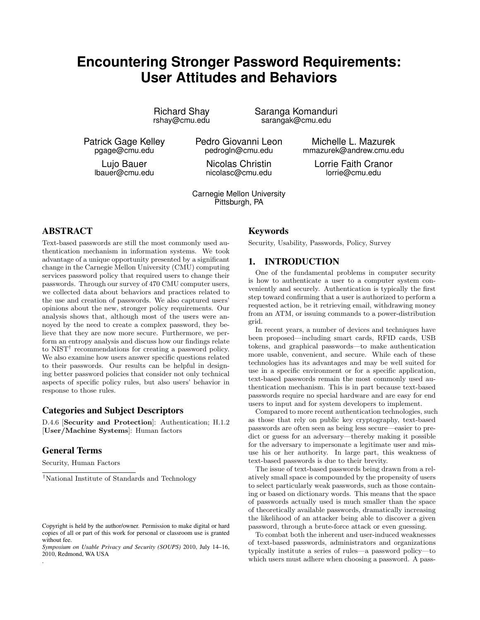## **Encountering Stronger Password Requirements: User Attitudes and Behaviors**

Richard Shay rshay@cmu.edu Saranga Komanduri sarangak@cmu.edu

Patrick Gage Kelley pgage@cmu.edu

> Lujo Bauer lbauer@cmu.edu

Pedro Giovanni Leon pedrogln@cmu.edu

> Nicolas Christin nicolasc@cmu.edu

Carnegie Mellon University Pittsburgh, PA

#### ABSTRACT

Text-based passwords are still the most commonly used authentication mechanism in information systems. We took advantage of a unique opportunity presented by a significant change in the Carnegie Mellon University (CMU) computing services password policy that required users to change their passwords. Through our survey of 470 CMU computer users, we collected data about behaviors and practices related to the use and creation of passwords. We also captured users' opinions about the new, stronger policy requirements. Our analysis shows that, although most of the users were annoyed by the need to create a complex password, they believe that they are now more secure. Furthermore, we perform an entropy analysis and discuss how our findings relate to NIST† recommendations for creating a password policy. We also examine how users answer specific questions related to their passwords. Our results can be helpful in designing better password policies that consider not only technical aspects of specific policy rules, but also users' behavior in response to those rules.

#### Categories and Subject Descriptors

D.4.6 [Security and Protection]: Authentication; H.1.2 [User/Machine Systems]: Human factors

#### General Terms

.

Security, Human Factors

†National Institute of Standards and Technology

#### Keywords

Security, Usability, Passwords, Policy, Survey

#### 1. INTRODUCTION

One of the fundamental problems in computer security is how to authenticate a user to a computer system conveniently and securely. Authentication is typically the first step toward confirming that a user is authorized to perform a requested action, be it retrieving email, withdrawing money from an ATM, or issuing commands to a power-distribution grid.

In recent years, a number of devices and techniques have been proposed—including smart cards, RFID cards, USB tokens, and graphical passwords—to make authentication more usable, convenient, and secure. While each of these technologies has its advantages and may be well suited for use in a specific environment or for a specific application, text-based passwords remain the most commonly used authentication mechanism. This is in part because text-based passwords require no special hardware and are easy for end users to input and for system developers to implement.

Compared to more recent authentication technologies, such as those that rely on public key cryptography, text-based passwords are often seen as being less secure—easier to predict or guess for an adversary—thereby making it possible for the adversary to impersonate a legitimate user and misuse his or her authority. In large part, this weakness of text-based passwords is due to their brevity.

The issue of text-based passwords being drawn from a relatively small space is compounded by the propensity of users to select particularly weak passwords, such as those containing or based on dictionary words. This means that the space of passwords actually used is much smaller than the space of theoretically available passwords, dramatically increasing the likelihood of an attacker being able to discover a given password, through a brute-force attack or even guessing.

To combat both the inherent and user-induced weaknesses of text-based passwords, administrators and organizations typically institute a series of rules—a password policy—to which users must adhere when choosing a password. A pass-

Michelle L. Mazurek mmazurek@andrew.cmu.edu

> Lorrie Faith Cranor lorrie@cmu.edu

Copyright is held by the author/owner. Permission to make digital or hard copies of all or part of this work for personal or classroom use is granted without fee.

*Symposium on Usable Privacy and Security (SOUPS)* 2010, July 14–16, 2010, Redmond, WA USA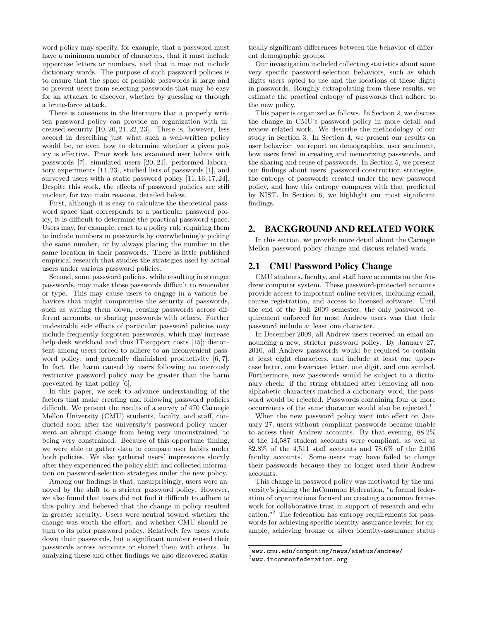word policy may specify, for example, that a password must have a minimum number of characters, that it must include uppercase letters or numbers, and that it may not include dictionary words. The purpose of such password policies is to ensure that the space of possible passwords is large and to prevent users from selecting passwords that may be easy for an attacker to discover, whether by guessing or through a brute-force attack.

There is consensus in the literature that a properly written password policy can provide an organization with increased security [10, 20, 21, 22, 23]. There is, however, less accord in describing just what such a well-written policy would be, or even how to determine whether a given policy is effective. Prior work has examined user habits with passwords [7], simulated users [20, 21], performed laboratory experiments [14, 23], studied lists of passwords [1], and surveyed users with a static password policy  $[11, 16, 17, 24]$ . Despite this work, the effects of password policies are still unclear, for two main reasons, detailed below.

First, although it is easy to calculate the theoretical password space that corresponds to a particular password policy, it is difficult to determine the practical password space. Users may, for example, react to a policy rule requiring them to include numbers in passwords by overwhelmingly picking the same number, or by always placing the number in the same location in their passwords. There is little published empirical research that studies the strategies used by actual users under various password policies.

Second, some password policies, while resulting in stronger passwords, may make those passwords difficult to remember or type. This may cause users to engage in a various behaviors that might compromise the security of passwords, such as writing them down, reusing passwords across different accounts, or sharing passwords with others. Further undesirable side effects of particular password policies may include frequently forgotten passwords, which may increase help-desk workload and thus IT-support costs [15]; discontent among users forced to adhere to an inconvenient password policy; and generally diminished productivity [6, 7]. In fact, the harm caused by users following an onerously restrictive password policy may be greater than the harm prevented by that policy [6].

In this paper, we seek to advance understanding of the factors that make creating and following password policies difficult. We present the results of a survey of 470 Carnegie Mellon University (CMU) students, faculty, and staff, conducted soon after the university's password policy underwent an abrupt change from being very unconstrained, to being very constrained. Because of this opportune timing, we were able to gather data to compare user habits under both policies. We also gathered users' impressions shortly after they experienced the policy shift and collected information on password-selection strategies under the new policy.

Among our findings is that, unsurprisingly, users were annoyed by the shift to a stricter password policy. However, we also found that users did not find it difficult to adhere to this policy and believed that the change in policy resulted in greater security. Users were neutral toward whether the change was worth the effort, and whether CMU should return to its prior password policy. Relatively few users wrote down their passwords, but a significant number reused their passwords across accounts or shared them with others. In analyzing these and other findings we also discovered statistically significant differences between the behavior of different demographic groups.

Our investigation included collecting statistics about some very specific password-selection behaviors, such as which digits users opted to use and the locations of these digits in passwords. Roughly extrapolating from these results, we estimate the practical entropy of passwords that adhere to the new policy.

This paper is organized as follows. In Section 2, we discuss the change in CMU's password policy in more detail and review related work. We describe the methodology of our study in Section 3. In Section 4, we present our results on user behavior: we report on demographics, user sentiment, how users fared in creating and memorizing passwords, and the sharing and reuse of passwords. In Section 5, we present our findings about users' password-construction strategies, the entropy of passwords created under the new password policy, and how this entropy compares with that predicted by NIST. In Section 6, we highlight our most significant findings.

#### 2. BACKGROUND AND RELATED WORK

In this section, we provide more detail about the Carnegie Mellon password policy change and discuss related work.

#### 2.1 CMU Password Policy Change

CMU students, faculty, and staff have accounts on the Andrew computer system. These password-protected accounts provide access to important online services, including email, course registration, and access to licensed software. Until the end of the Fall 2009 semester, the only password requirement enforced for most Andrew users was that their password include at least one character.

In December 2009, all Andrew users received an email announcing a new, stricter password policy. By January 27, 2010, all Andrew passwords would be required to contain at least eight characters, and include at least one uppercase letter, one lowercase letter, one digit, and one symbol. Furthermore, new passwords would be subject to a dictionary check: if the string obtained after removing all nonalphabetic characters matched a dictionary word, the password would be rejected. Passwords containing four or more occurrences of the same character would also be rejected.<sup>1</sup>

When the new password policy went into effect on January 27, users without compliant passwords became unable to access their Andrew accounts. By that evening, 88.2% of the 14,587 student accounts were compliant, as well as 82.8% of the 4,511 staff accounts and 78.6% of the 2,005 faculty accounts. Some users may have failed to change their passwords because they no longer used their Andrew accounts.

This change in password policy was motivated by the university's joining the InCommon Federation, "a formal federation of organizations focused on creating a common framework for collaborative trust in support of research and education."<sup>2</sup> The federation has entropy requirements for passwords for achieving specific identity-assurance levels: for example, achieving bronze or silver identity-assurance status

 $^1$ www.cmu.edu/computing/news/status/andrew/

 $^{2}$ www.incommonfederation.org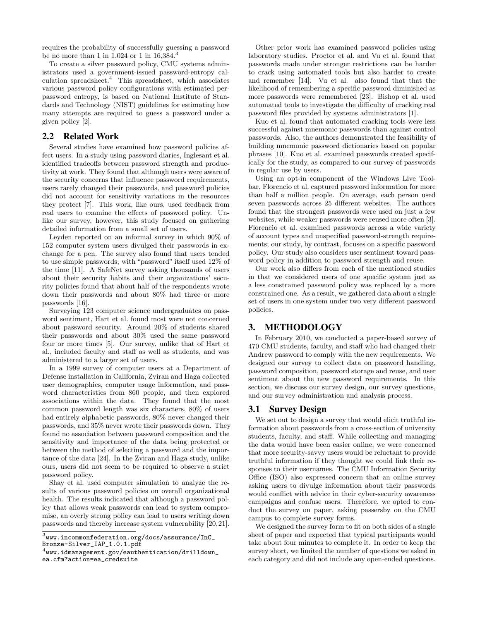requires the probability of successfully guessing a password be no more than 1 in 1,024 or 1 in 16,384.<sup>3</sup>

To create a silver password policy, CMU systems administrators used a government-issued password-entropy calculation spreadsheet.<sup>4</sup> This spreadsheet, which associates various password policy configurations with estimated perpassword entropy, is based on National Institute of Standards and Technology (NIST) guidelines for estimating how many attempts are required to guess a password under a given policy [2].

#### 2.2 Related Work

Several studies have examined how password policies affect users. In a study using password diaries, Inglesant et al. identified tradeoffs between password strength and productivity at work. They found that although users were aware of the security concerns that influence password requirements, users rarely changed their passwords, and password policies did not account for sensitivity variations in the resources they protect [7]. This work, like ours, used feedback from real users to examine the effects of password policy. Unlike our survey, however, this study focused on gathering detailed information from a small set of users.

Leyden reported on an informal survey in which 90% of 152 computer system users divulged their passwords in exchange for a pen. The survey also found that users tended to use simple passwords, with "password" itself used 12% of the time [11]. A SafeNet survey asking thousands of users about their security habits and their organizations' security policies found that about half of the respondents wrote down their passwords and about 80% had three or more passwords [16].

Surveying 123 computer science undergraduates on password sentiment, Hart et al. found most were not concerned about password security. Around 20% of students shared their passwords and about 30% used the same password four or more times [5]. Our survey, unlike that of Hart et al., included faculty and staff as well as students, and was administered to a larger set of users.

In a 1999 survey of computer users at a Department of Defense installation in California, Zviran and Haga collected user demographics, computer usage information, and password characteristics from 860 people, and then explored associations within the data. They found that the most common password length was six characters, 80% of users had entirely alphabetic passwords, 80% never changed their passwords, and 35% never wrote their passwords down. They found no association between password composition and the sensitivity and importance of the data being protected or between the method of selecting a password and the importance of the data [24]. In the Zviran and Haga study, unlike ours, users did not seem to be required to observe a strict password policy.

Shay et al. used computer simulation to analyze the results of various password policies on overall organizational health. The results indicated that although a password policy that allows weak passwords can lead to system compromise, an overly strong policy can lead to users writing down passwords and thereby increase system vulnerability [20,21].

 $^4$ www.idmanagement.gov/eauthentication/drilldown\_ ea.cfm?action=ea\_credsuite

Other prior work has examined password policies using laboratory studies. Proctor et al. and Vu et al. found that passwords made under stronger restrictions can be harder to crack using automated tools but also harder to create and remember [14]. Vu et al. also found that that the likelihood of remembering a specific password diminished as more passwords were remembered [23]. Bishop et al. used automated tools to investigate the difficulty of cracking real password files provided by systems administrators [1].

Kuo et al. found that automated cracking tools were less successful against mnemonic passwords than against control passwords. Also, the authors demonstrated the feasibility of building mnemonic password dictionaries based on popular phrases [10]. Kuo et al. examined passwords created specifically for the study, as compared to our survey of passwords in regular use by users.

Using an opt-in component of the Windows Live Toolbar, Florencio et al. captured password information for more than half a million people. On average, each person used seven passwords across 25 different websites. The authors found that the strongest passwords were used on just a few websites, while weaker passwords were reused more often [3]. Florencio et al. examined passwords across a wide variety of account types and unspecified password-strength requirements; our study, by contrast, focuses on a specific password policy. Our study also considers user sentiment toward password policy in addition to password strength and reuse.

Our work also differs from each of the mentioned studies in that we considered users of one specific system just as a less constrained password policy was replaced by a more constrained one. As a result, we gathered data about a single set of users in one system under two very different password policies.

#### 3. METHODOLOGY

In February 2010, we conducted a paper-based survey of 470 CMU students, faculty, and staff who had changed their Andrew password to comply with the new requirements. We designed our survey to collect data on password handling, password composition, password storage and reuse, and user sentiment about the new password requirements. In this section, we discuss our survey design, our survey questions, and our survey administration and analysis process.

#### 3.1 Survey Design

We set out to design a survey that would elicit truthful information about passwords from a cross-section of university students, faculty, and staff. While collecting and managing the data would have been easier online, we were concerned that more security-savvy users would be reluctant to provide truthful information if they thought we could link their responses to their usernames. The CMU Information Security Office (ISO) also expressed concern that an online survey asking users to divulge information about their passwords would conflict with advice in their cyber-security awareness campaigns and confuse users. Therefore, we opted to conduct the survey on paper, asking passersby on the CMU campus to complete survey forms.

We designed the survey form to fit on both sides of a single sheet of paper and expected that typical participants would take about four minutes to complete it. In order to keep the survey short, we limited the number of questions we asked in each category and did not include any open-ended questions.

 $^3$ www.incommonfederation.org/docs/assurance/InC\_ Bronze-Silver\_IAP\_1.0.1.pdf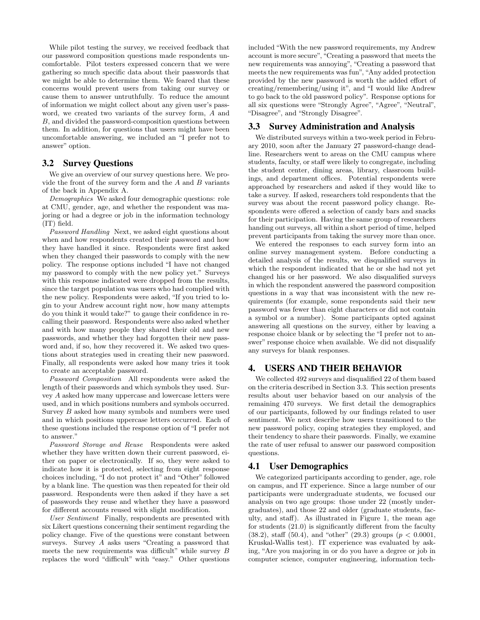While pilot testing the survey, we received feedback that our password composition questions made respondents uncomfortable. Pilot testers expressed concern that we were gathering so much specific data about their passwords that we might be able to determine them. We feared that these concerns would prevent users from taking our survey or cause them to answer untruthfully. To reduce the amount of information we might collect about any given user's password, we created two variants of the survey form, A and B, and divided the password-composition questions between them. In addition, for questions that users might have been uncomfortable answering, we included an "I prefer not to answer" option.

#### 3.2 Survey Questions

We give an overview of our survey questions here. We provide the front of the survey form and the  $A$  and  $B$  variants of the back in Appendix A.

Demographics We asked four demographic questions: role at CMU, gender, age, and whether the respondent was majoring or had a degree or job in the information technology (IT) field.

Password Handling Next, we asked eight questions about when and how respondents created their password and how they have handled it since. Respondents were first asked when they changed their passwords to comply with the new policy. The response options included "I have not changed my password to comply with the new policy yet." Surveys with this response indicated were dropped from the results, since the target population was users who had complied with the new policy. Respondents were asked, "If you tried to login to your Andrew account right now, how many attempts do you think it would take?" to gauge their confidence in recalling their password. Respondents were also asked whether and with how many people they shared their old and new passwords, and whether they had forgotten their new password and, if so, how they recovered it. We asked two questions about strategies used in creating their new password. Finally, all respondents were asked how many tries it took to create an acceptable password.

Password Composition All respondents were asked the length of their passwords and which symbols they used. Survey A asked how many uppercase and lowercase letters were used, and in which positions numbers and symbols occurred. Survey B asked how many symbols and numbers were used and in which positions uppercase letters occurred. Each of these questions included the response option of "I prefer not to answer."

Password Storage and Reuse Respondents were asked whether they have written down their current password, either on paper or electronically. If so, they were asked to indicate how it is protected, selecting from eight response choices including, "I do not protect it" and "Other" followed by a blank line. The question was then repeated for their old password. Respondents were then asked if they have a set of passwords they reuse and whether they have a password for different accounts reused with slight modification.

User Sentiment Finally, respondents are presented with six Likert questions concerning their sentiment regarding the policy change. Five of the questions were constant between surveys. Survey A asks users "Creating a password that meets the new requirements was difficult" while survey  $B$ replaces the word "difficult" with "easy." Other questions included "With the new password requirements, my Andrew account is more secure", "Creating a password that meets the new requirements was annoying", "Creating a password that meets the new requirements was fun", "Any added protection provided by the new password is worth the added effort of creating/remembering/using it", and "I would like Andrew to go back to the old password policy". Response options for all six questions were "Strongly Agree", "Agree", "Neutral", "Disagree", and "Strongly Disagree".

#### 3.3 Survey Administration and Analysis

We distributed surveys within a two-week period in February 2010, soon after the January 27 password-change deadline. Researchers went to areas on the CMU campus where students, faculty, or staff were likely to congregate, including the student center, dining areas, library, classroom buildings, and department offices. Potential respondents were approached by researchers and asked if they would like to take a survey. If asked, researchers told respondents that the survey was about the recent password policy change. Respondents were offered a selection of candy bars and snacks for their participation. Having the same group of researchers handing out surveys, all within a short period of time, helped prevent participants from taking the survey more than once.

We entered the responses to each survey form into an online survey management system. Before conducting a detailed analysis of the results, we disqualified surveys in which the respondent indicated that he or she had not yet changed his or her password. We also disqualified surveys in which the respondent answered the password composition questions in a way that was inconsistent with the new requirements (for example, some respondents said their new password was fewer than eight characters or did not contain a symbol or a number). Some participants opted against answering all questions on the survey, either by leaving a response choice blank or by selecting the "I prefer not to answer" response choice when available. We did not disqualify any surveys for blank responses.

#### 4. USERS AND THEIR BEHAVIOR

We collected 492 surveys and disqualified 22 of them based on the criteria described in Section 3.3. This section presents results about user behavior based on our analysis of the remaining 470 surveys. We first detail the demographics of our participants, followed by our findings related to user sentiment. We next describe how users transitioned to the new password policy, coping strategies they employed, and their tendency to share their passwords. Finally, we examine the rate of user refusal to answer our password composition questions.

#### 4.1 User Demographics

We categorized participants according to gender, age, role on campus, and IT experience. Since a large number of our participants were undergraduate students, we focused our analysis on two age groups: those under 22 (mostly undergraduates), and those 22 and older (graduate students, faculty, and staff). As illustrated in Figure 1, the mean age for students (21.0) is significantly different from the faculty  $(38.2)$ , staff  $(50.4)$ , and "other"  $(29.3)$  groups  $(p < 0.0001)$ , Kruskal-Wallis test). IT experience was evaluated by asking, "Are you majoring in or do you have a degree or job in computer science, computer engineering, information tech-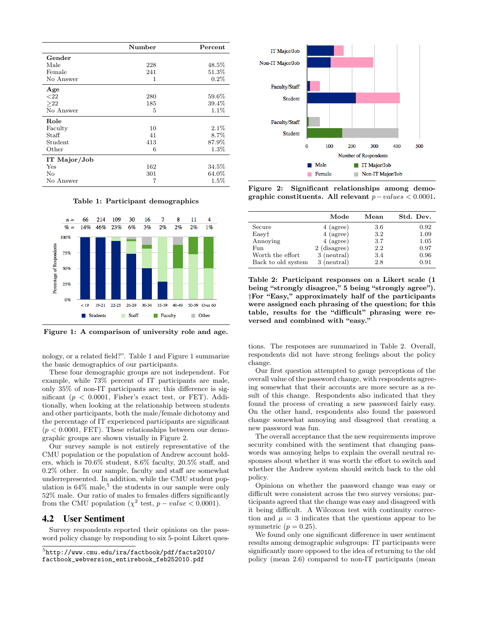|              | Number | Percent |
|--------------|--------|---------|
| Gender       |        |         |
| Male         | 228    | 48.5%   |
| Female       | 241    | 51.3%   |
| No Answer    | 1      | $0.2\%$ |
| Age          |        |         |
| ${<}22$      | 280    | 59.6%   |
| >22          | 185    | 39.4%   |
| No Answer    | 5      | 1.1%    |
| Role         |        |         |
| Faculty      | 10     | 2.1%    |
| Staff        | 41     | 8.7%    |
| Student      | 413    | 87.9%   |
| Other        | 6      | 1.3%    |
| IT Major/Job |        |         |
| Yes          | 162    | 34.5%   |
| No           | 301    | 64.0%   |
| No Answer    | 7      | $1.5\%$ |

Table 1: Participant demographics



Figure 1: A comparison of university role and age.

nology, or a related field?". Table 1 and Figure 1 summarize the basic demographics of our participants.

These four demographic groups are not independent. For example, while 73% percent of IT participants are male, only 35% of non-IT participants are; this difference is significant ( $p < 0.0001$ , Fisher's exact test, or FET). Additionally, when looking at the relationship between students and other participants, both the male/female dichotomy and the percentage of IT experienced participants are significant  $(p < 0.0001, FET)$ . These relationships between our demographic groups are shown visually in Figure 2.

Our survey sample is not entirely representative of the CMU population or the population of Andrew account holders, which is 70.6% student, 8.6% faculty, 20.5% staff, and 0.2% other. In our sample, faculty and staff are somewhat underrepresented. In addition, while the CMU student population is  $64\%$  male,<sup>5</sup> the students in our sample were only 52% male. Our ratio of males to females differs significantly from the CMU population ( $\chi^2$  test,  $p-value < 0.0001$ ).

#### 4.2 User Sentiment

Survey respondents reported their opinions on the password policy change by responding to six 5-point Likert ques-



Figure 2: Significant relationships among demographic constituents. All relevant  $p-values < 0.0001$ .

|                    | Mode                | Mean | Std. Dev. |
|--------------------|---------------------|------|-----------|
| Secure             | 4 (agree)           | 3.6  | 0.92      |
| Easy†              | $4 \text{ (agree)}$ | 3.2  | 1.09      |
| Annoying           | $4 \text{ (agree)}$ | 3.7  | 1.05      |
| Fun                | 2 (disagree)        | 2.2  | 0.97      |
| Worth the effort   | 3 (neutral)         | 3.4  | 0.96      |
| Back to old system | 3 (neutral)         | 2.8  | 0.91      |

Table 2: Participant responses on a Likert scale (1 being "strongly disagree," 5 being "strongly agree"). †For "Easy," approximately half of the participants were assigned each phrasing of the question; for this table, results for the "difficult" phrasing were reversed and combined with "easy."

tions. The responses are summarized in Table 2. Overall, respondents did not have strong feelings about the policy change.

Our first question attempted to gauge perceptions of the overall value of the password change, with respondents agreeing somewhat that their accounts are more secure as a result of this change. Respondents also indicated that they found the process of creating a new password fairly easy. On the other hand, respondents also found the password change somewhat annoying and disagreed that creating a new password was fun.

The overall acceptance that the new requirements improve security combined with the sentiment that changing passwords was annoying helps to explain the overall neutral responses about whether it was worth the effort to switch and whether the Andrew system should switch back to the old policy.

Opinions on whether the password change was easy or difficult were consistent across the two survey versions; participants agreed that the change was easy and disagreed with it being difficult. A Wilcoxon test with continuity correction and  $\mu = 3$  indicates that the questions appear to be symmetric  $(p = 0.25)$ .

We found only one significant difference in user sentiment results among demographic subgroups: IT participants were significantly more opposed to the idea of returning to the old policy (mean 2.6) compared to non-IT participants (mean

 $5$ http://www.cmu.edu/ira/factbook/pdf/facts2010/ factbook\_webversion\_entirebook\_feb252010.pdf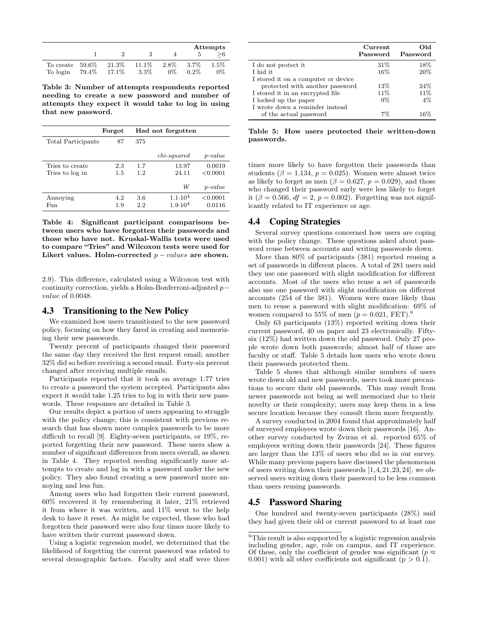|           |          |        |         |       |         | Attempts |
|-----------|----------|--------|---------|-------|---------|----------|
|           |          |        | 3       |       |         | >6       |
| To create | $59.6\%$ | 21.3%  | 11.1\%  | 2.8%  | $3.7\%$ | $1.5\%$  |
| To login  | 79.4%    | 17.1\% | $3.3\%$ | $0\%$ | $0.2\%$ | $0\%$    |

Table 3: Number of attempts respondents reported needing to create a new password and number of attempts they expect it would take to log in using that new password.

|                    | Forgot  | Had not forgotten |                    |           |
|--------------------|---------|-------------------|--------------------|-----------|
| Total Participants | 87      | 375               |                    |           |
|                    |         |                   | $chi$ -squared     | $p-value$ |
| Tries to create    | 2.3     | 1.7               | 13.97              | 0.0019    |
| Tries to log in    | $1.5\,$ | 1.2               | 24.11              | < 0.0001  |
|                    |         |                   | W                  | $p-value$ |
| Annoying           | 4.2     | 3.6               | $1.1 \cdot 10^{4}$ | < 0.0001  |
| Fun                | 1.9     | 2.2               | $1.9 \cdot 10^{4}$ | 0.0116    |

Table 4: Significant participant comparisons between users who have forgotten their passwords and those who have not. Kruskal-Wallis tests were used to compare "Tries" and Wilcoxon tests were used for Likert values. Holm-corrected  $p - values$  are shown.

2.9). This difference, calculated using a Wilcoxon test with continuity correction, yields a Holm-Bonferroni-adjusted p− value of 0.0048.

#### 4.3 Transitioning to the New Policy

We examined how users transitioned to the new password policy, focusing on how they fared in creating and memorizing their new passwords.

Twenty percent of participants changed their password the same day they received the first request email; another 32% did so before receiving a second email. Forty-six percent changed after receiving multiple emails.

Participants reported that it took on average 1.77 tries to create a password the system accepted. Participants also expect it would take 1.25 tries to log in with their new passwords. These responses are detailed in Table 3.

Our results depict a portion of users appearing to struggle with the policy change; this is consistent with previous research that has shown more complex passwords to be more difficult to recall [9]. Eighty-seven participants, or 19%, reported forgetting their new password. These users show a number of significant differences from users overall, as shown in Table 4. They reported needing significantly more attempts to create and log in with a password under the new policy. They also found creating a new password more annoying and less fun.

Among users who had forgotten their current password, 60% recovered it by remembering it later, 21% retrieved it from where it was written, and 11% went to the help desk to have it reset. As might be expected, those who had forgotten their password were also four times more likely to have written their current password down.

Using a logistic regression model, we determined that the likelihood of forgetting the current password was related to several demographic factors. Faculty and staff were three

|                                     | Current<br>Password | Old<br>Password |
|-------------------------------------|---------------------|-----------------|
| I do not protect it                 | 31%                 | 18%             |
| I hid it                            | 16%                 | 20%             |
| I stored it on a computer or device |                     |                 |
| protected with another password     | 13%                 | 24%             |
| I stored it in an encrypted file    | $11\%$              | 11\%            |
| I locked up the paper               | 9%                  | $4\%$           |
| I wrote down a reminder instead     |                     |                 |
| of the actual password              | 7%                  | 16%             |

Table 5: How users protected their written-down passwords.

times more likely to have forgotten their passwords than students ( $\beta = 1.134$ ,  $p = 0.025$ ). Women were almost twice as likely to forget as men ( $\beta = 0.627$ ,  $p = 0.029$ ), and those who changed their password early were less likely to forget it ( $\beta = 0.566$ ,  $df = 2$ ,  $p = 0.002$ ). Forgetting was not significantly related to IT experience or age.

#### 4.4 Coping Strategies

Several survey questions concerned how users are coping with the policy change. These questions asked about password reuse between accounts and writing passwords down.

More than 80% of participants (381) reported reusing a set of passwords in different places. A total of 281 users said they use one password with slight modification for different accounts. Most of the users who reuse a set of passwords also use one password with slight modification on different accounts (254 of the 381). Women were more likely than men to reuse a password with slight modification: 69% of women compared to 55% of men  $(p = 0.021, FET)$ .

Only 63 participants (13%) reported writing down their current password, 40 on paper and 23 electronically. Fiftysix (12%) had written down the old password. Only 27 people wrote down both passwords; almost half of those are faculty or staff. Table 5 details how users who wrote down their passwords protected them.

Table 5 shows that although similar numbers of users wrote down old and new passwords, users took more precautions to secure their old passwords. This may result from newer passwords not being as well memorized due to their novelty or their complexity; users may keep them in a less secure location because they consult them more frequently.

A survey conducted in 2004 found that approximately half of surveyed employees wrote down their passwords [16]. Another survey conducted by Zviran et al. reported 65% of employees writing down their passwords [24]. These figures are larger than the 13% of users who did so in our survey. While many previous papers have discussed the phenomenon of users writing down their passwords [1,4,21,23,24], we observed users writing down their password to be less common than users reusing passwords.

### 4.5 Password Sharing

One hundred and twenty-seven participants (28%) said they had given their old or current password to at least one

 $^6\mathrm{This}$  result is also supported by a logistic regression analysis including gender, age, role on campus, and IT experience. Of these, only the coefficient of gender was significant ( $p \approx$ 0.001) with all other coefficients not significant ( $p > 0.1$ ).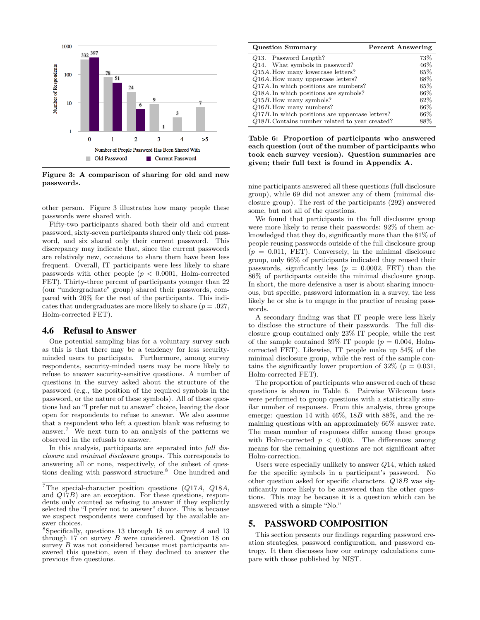

Figure 3: A comparison of sharing for old and new passwords.

other person. Figure 3 illustrates how many people these passwords were shared with.

Fifty-two participants shared both their old and current password, sixty-seven participants shared only their old password, and six shared only their current password. This discrepancy may indicate that, since the current passwords are relatively new, occasions to share them have been less frequent. Overall, IT participants were less likely to share passwords with other people  $(p < 0.0001,$  Holm-corrected FET). Thirty-three percent of participants younger than 22 (our "undergraduate" group) shared their passwords, compared with 20% for the rest of the participants. This indicates that undergraduates are more likely to share  $(p=.027, ...)$ Holm-corrected FET).

#### 4.6 Refusal to Answer

One potential sampling bias for a voluntary survey such as this is that there may be a tendency for less securityminded users to participate. Furthermore, among survey respondents, security-minded users may be more likely to refuse to answer security-sensitive questions. A number of questions in the survey asked about the structure of the password (e.g., the position of the required symbols in the password, or the nature of these symbols). All of these questions had an "I prefer not to answer" choice, leaving the door open for respondents to refuse to answer. We also assume that a respondent who left a question blank was refusing to answer.<sup>7</sup> We next turn to an analysis of the patterns we observed in the refusals to answer.

In this analysis, participants are separated into full disclosure and minimal disclosure groups. This corresponds to answering all or none, respectively, of the subset of questions dealing with password structure.<sup>8</sup> One hundred and

| <b>Question Summary</b>                            | <b>Percent Answering</b> |
|----------------------------------------------------|--------------------------|
| Q13. Password Length?                              | 73%                      |
| Q14. What symbols in password?                     | 46\%                     |
| $Q15A$ . How many lowercase letters?               | 65%                      |
| Q16A. How many uppercase letters?                  | 68\%                     |
| $Q17A$ . In which positions are numbers?           | 65%                      |
| Q18A. In which positions are symbols?              | 66%                      |
| $Q15B$ . How many symbols?                         | 62%                      |
| $Q16B$ . How many numbers?                         | 66\%                     |
| $Q17B$ . In which positions are uppercase letters? | $66\%$                   |
| Q18B. Contains number related to year created?     | 88%                      |

Table 6: Proportion of participants who answered each question (out of the number of participants who took each survey version). Question summaries are given; their full text is found in Appendix A.

nine participants answered all these questions (full disclosure group), while 69 did not answer any of them (minimal disclosure group). The rest of the participants (292) answered some, but not all of the questions.

We found that participants in the full disclosure group were more likely to reuse their passwords: 92% of them acknowledged that they do, significantly more than the 81% of people reusing passwords outside of the full disclosure group  $(p = 0.011, FET)$ . Conversely, in the minimal disclosure group, only 66% of participants indicated they reused their passwords, significantly less ( $p = 0.0002$ , FET) than the 86% of participants outside the minimal disclosure group. In short, the more defensive a user is about sharing innocuous, but specific, password information in a survey, the less likely he or she is to engage in the practice of reusing passwords.

A secondary finding was that IT people were less likely to disclose the structure of their passwords. The full disclosure group contained only 23% IT people, while the rest of the sample contained 39% IT people ( $p = 0.004$ , Holmcorrected FET). Likewise, IT people make up 54% of the minimal disclosure group, while the rest of the sample contains the significantly lower proportion of 32% ( $p = 0.031$ , Holm-corrected FET).

The proportion of participants who answered each of these questions is shown in Table 6. Pairwise Wilcoxon tests were performed to group questions with a statistically similar number of responses. From this analysis, three groups emerge: question 14 with 46%, 18B with 88%, and the remaining questions with an approximately 66% answer rate. The mean number of responses differ among these groups with Holm-corrected  $p < 0.005$ . The differences among means for the remaining questions are not significant after Holm-correction.

Users were especially unlikely to answer Q14, which asked for the specific symbols in a participant's password. No other question asked for specific characters. Q18B was significantly more likely to be answered than the other questions. This may be because it is a question which can be answered with a simple "No."

#### 5. PASSWORD COMPOSITION

This section presents our findings regarding password creation strategies, password configuration, and password entropy. It then discusses how our entropy calculations compare with those published by NIST.

<sup>&</sup>lt;sup>7</sup>The special-character position questions  $(Q17A, Q18A,$ and Q17B) are an exception. For these questions, respondents only counted as refusing to answer if they explicitly selected the "I prefer not to answer" choice. This is because we suspect respondents were confused by the available answer choices.

<sup>&</sup>lt;sup>8</sup>Specifically, questions 13 through 18 on survey A and 13 through 17 on survey B were considered. Question 18 on survey B was not considered because most participants answered this question, even if they declined to answer the previous five questions.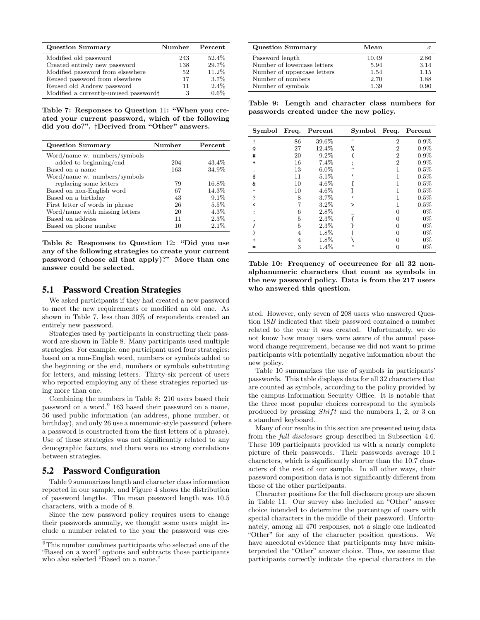| <b>Question Summary</b>                           | Number | Percent |
|---------------------------------------------------|--------|---------|
| Modified old password                             | 243    | 52.4%   |
| Created entirely new password                     | 138    | 29.7%   |
| Modified password from elsewhere                  | 52     | 11.2%   |
| Reused password from elsewhere                    | 17     | 3.7%    |
| Reused old Andrew password                        | 11     | $2.4\%$ |
| Modified a currently-unused password <sup>†</sup> | 3      | $0.6\%$ |

Table 7: Responses to Question 11: "When you created your current password, which of the following did you do?". †Derived from "Other" answers.

| Question Summary                | Number | <b>Percent</b> |
|---------------------------------|--------|----------------|
| Word/name w. numbers/symbols    |        |                |
| added to beginning/end          | 204    | 43.4%          |
| Based on a name                 | 163    | 34.9%          |
| Word/name w. numbers/symbols    |        |                |
| replacing some letters          | 79     | $16.8\%$       |
| Based on non-English word       | 67     | 14.3%          |
| Based on a birthday             | 43     | $9.1\%$        |
| First letter of words in phrase | 26     | $5.5\%$        |
| Word/name with missing letters  | 20     | $4.3\%$        |
| Based on address                | 11     | $2.3\%$        |
| Based on phone number           | 10     | 2.1%           |

Table 8: Responses to Question 12: "Did you use any of the following strategies to create your current password (choose all that apply)?" More than one answer could be selected.

#### 5.1 Password Creation Strategies

We asked participants if they had created a new password to meet the new requirements or modified an old one. As shown in Table 7, less than 30% of respondents created an entirely new password.

Strategies used by participants in constructing their password are shown in Table 8. Many participants used multiple strategies. For example, one participant used four strategies: based on a non-English word, numbers or symbols added to the beginning or the end, numbers or symbols substituting for letters, and missing letters. Thirty-six percent of users who reported employing any of these strategies reported using more than one.

Combining the numbers in Table 8: 210 users based their password on a word,<sup>9</sup> 163 based their password on a name, 56 used public information (an address, phone number, or birthday), and only 26 use a mnemonic-style password (where a password is constructed from the first letters of a phrase). Use of these strategies was not significantly related to any demographic factors, and there were no strong correlations between strategies.

#### 5.2 Password Configuration

Table 9 summarizes length and character class information reported in our sample, and Figure 4 shows the distribution of password lengths. The mean password length was 10.5 characters, with a mode of 8.

Since the new password policy requires users to change their passwords annually, we thought some users might include a number related to the year the password was cre-

| <b>Question Summary</b>     | Mean  |      |
|-----------------------------|-------|------|
| Password length             | 10.49 | 2.86 |
| Number of lowercase letters | 5.94  | 3.14 |
| Number of uppercase letters | 1.54  | 1.15 |
| Number of numbers           | 2.70  | 1.88 |
| Number of symbols           | 1.39  | 0.90 |

Table 9: Length and character class numbers for passwords created under the new policy.

| Symbol Freq. |    | Percent | Symbol | Freq.          | Percent |
|--------------|----|---------|--------|----------------|---------|
|              | 86 | 39.6%   |        | $\overline{2}$ | $0.9\%$ |
| Q            | 27 | 12.4%   | %      | 2              | $0.9\%$ |
| #            | 20 | 9.2%    |        | 2              | $0.9\%$ |
| $\ast$       | 16 | 7.4%    |        | $\overline{2}$ | 0.9%    |
|              | 13 | $6.0\%$ |        |                | 0.5%    |
| \$           | 11 | 5.1%    |        |                | 0.5%    |
| &            | 10 | 4.6%    |        |                | 0.5%    |
|              | 10 | 4.6%    |        |                | 0.5%    |
| 7            | 8  | 3.7%    |        |                | $0.5\%$ |
|              | 7  | $3.2\%$ | ↘      |                | 0.5%    |
|              | 6  | 2.8%    |        | 0              | $0\%$   |
|              | 5  | 2.3%    |        | O              | $0\%$   |
|              | 5  | 2.3%    |        |                | $0\%$   |
|              | 4  | 1.8%    |        |                | $0\%$   |
|              | 4  | 1.8%    |        |                | $0\%$   |
|              | 3  | $1.4\%$ | п      |                | $0\%$   |

Table 10: Frequency of occurrence for all 32 nonalphanumeric characters that count as symbols in the new password policy. Data is from the 217 users who answered this question.

ated. However, only seven of 208 users who answered Question 18B indicated that their password contained a number related to the year it was created. Unfortunately, we do not know how many users were aware of the annual password change requirement, because we did not want to prime participants with potentially negative information about the new policy.

Table 10 summarizes the use of symbols in participants' passwords. This table displays data for all 32 characters that are counted as symbols, according to the policy provided by the campus Information Security Office. It is notable that the three most popular choices correspond to the symbols produced by pressing  $Shift$  and the numbers 1, 2, or 3 on a standard keyboard.

Many of our results in this section are presented using data from the full disclosure group described in Subsection 4.6. These 109 participants provided us with a nearly complete picture of their passwords. Their passwords average 10.1 characters, which is significantly shorter than the 10.7 characters of the rest of our sample. In all other ways, their password composition data is not significantly different from those of the other participants.

Character positions for the full disclosure group are shown in Table 11. Our survey also included an "Other" answer choice intended to determine the percentage of users with special characters in the middle of their password. Unfortunately, among all 470 responses, not a single one indicated "Other" for any of the character position questions. We have anecdotal evidence that participants may have misinterpreted the "Other" answer choice. Thus, we assume that participants correctly indicate the special characters in the

 $9$ This number combines participants who selected one of the "Based on a word" options and subtracts those participants who also selected "Based on a name."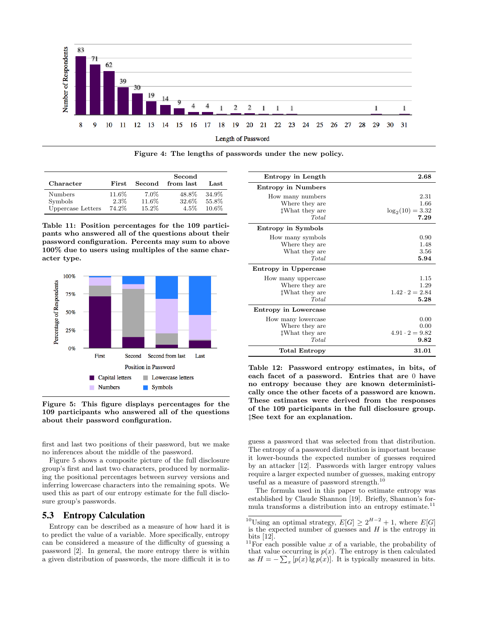

Figure 4: The lengths of passwords under the new policy.

| Character         | First   | Second  | Second<br>from last | Last  |
|-------------------|---------|---------|---------------------|-------|
| Numbers           | 11.6%   | $7.0\%$ | 48.8%               | 34.9% |
| Symbols           | $2.3\%$ | 11.6%   | 32.6%               | 55.8% |
| Uppercase Letters | 74.2%   | 15.2%   | $4.5\%$             | 10.6% |

Table 11: Position percentages for the 109 participants who answered all of the questions about their password configuration. Percents may sum to above 100% due to users using multiples of the same character type.



Figure 5: This figure displays percentages for the 109 participants who answered all of the questions about their password configuration.

first and last two positions of their password, but we make no inferences about the middle of the password.

Figure 5 shows a composite picture of the full disclosure group's first and last two characters, produced by normalizing the positional percentages between survey versions and inferring lowercase characters into the remaining spots. We used this as part of our entropy estimate for the full disclosure group's passwords.

#### 5.3 Entropy Calculation

Entropy can be described as a measure of how hard it is to predict the value of a variable. More specifically, entropy can be considered a measure of the difficulty of guessing a password [2]. In general, the more entropy there is within a given distribution of passwords, the more difficult it is to

| Entropy in Length                                                            | 2.68                                          |
|------------------------------------------------------------------------------|-----------------------------------------------|
| <b>Entropy in Numbers</b>                                                    |                                               |
| How many numbers<br>Where they are<br><b>What they are</b>                   | 2.31<br>1.66<br>$\log_2(10) = 3.32$           |
| <b>Total</b>                                                                 | 7.29                                          |
| Entropy in Symbols                                                           |                                               |
| How many symbols<br>Where they are<br>What they are<br><b>Total</b>          | 0.90<br>1.48<br>3.56<br>5.94                  |
| Entropy in Uppercase                                                         |                                               |
| How many uppercase<br>Where they are<br><b>What they are</b><br><b>Total</b> | 1.15<br>1.29<br>$1.42 \cdot 2 = 2.84$<br>5.28 |
| Entropy in Lowercase                                                         |                                               |
| How many lowercase<br>Where they are<br><b>What they are</b><br>Total        | 0.00<br>0.00<br>$4.91 \cdot 2 = 9.82$<br>9.82 |
| <b>Total Entropy</b>                                                         | 31.01                                         |

Table 12: Password entropy estimates, in bits, of each facet of a password. Entries that are 0 have no entropy because they are known deterministically once the other facets of a password are known. These estimates were derived from the responses of the 109 participants in the full disclosure group. ‡See text for an explanation.

guess a password that was selected from that distribution. The entropy of a password distribution is important because it lower-bounds the expected number of guesses required by an attacker [12]. Passwords with larger entropy values require a larger expected number of guesses, making entropy useful as a measure of password strength.<sup>10</sup>

The formula used in this paper to estimate entropy was established by Claude Shannon [19]. Briefly, Shannon's formula transforms a distribution into an entropy estimate.<sup>11</sup>

<sup>&</sup>lt;sup>10</sup>Using an optimal strategy,  $E[G] \geq 2^{H-2} + 1$ , where  $E[G]$ is the expected number of guesses and  $H$  is the entropy in bits [12].

<sup>&</sup>lt;sup>11</sup>For each possible value  $x$  of a variable, the probability of that value occurring is  $p(x)$ . The entropy is then calculated as  $H = -\sum_{x} [p(x) \lg p(x)]$ . It is typically measured in bits.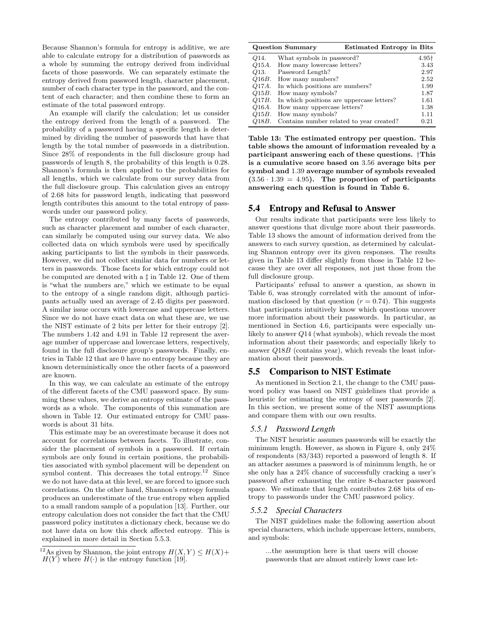Because Shannon's formula for entropy is additive, we are able to calculate entropy for a distribution of passwords as a whole by summing the entropy derived from individual facets of those passwords. We can separately estimate the entropy derived from password length, character placement, number of each character type in the password, and the content of each character; and then combine these to form an estimate of the total password entropy.

An example will clarify the calculation; let us consider the entropy derived from the length of a password. The probability of a password having a specific length is determined by dividing the number of passwords that have that length by the total number of passwords in a distribution. Since 28% of respondents in the full disclosure group had passwords of length 8, the probability of this length is 0.28. Shannon's formula is then applied to the probabilities for all lengths, which we calculate from our survey data from the full disclosure group. This calculation gives an entropy of 2.68 bits for password length, indicating that password length contributes this amount to the total entropy of passwords under our password policy.

The entropy contributed by many facets of passwords, such as character placement and number of each character, can similarly be computed using our survey data. We also collected data on which symbols were used by specifically asking participants to list the symbols in their passwords. However, we did not collect similar data for numbers or letters in passwords. Those facets for which entropy could not be computed are denoted with a ‡ in Table 12. One of them is "what the numbers are," which we estimate to be equal to the entropy of a single random digit, although participants actually used an average of 2.45 digits per password. A similar issue occurs with lowercase and uppercase letters. Since we do not have exact data on what these are, we use the NIST estimate of 2 bits per letter for their entropy [2]. The numbers 1.42 and 4.91 in Table 12 represent the average number of uppercase and lowercase letters, respectively, found in the full disclosure group's passwords. Finally, entries in Table 12 that are 0 have no entropy because they are known deterministically once the other facets of a password are known.

In this way, we can calculate an estimate of the entropy of the different facets of the CMU password space. By summing these values, we derive an entropy estimate of the passwords as a whole. The components of this summation are shown in Table 12. Our estimated entropy for CMU passwords is about 31 bits.

This estimate may be an overestimate because it does not account for correlations between facets. To illustrate, consider the placement of symbols in a password. If certain symbols are only found in certain positions, the probabilities associated with symbol placement will be dependent on symbol content. This decreases the total entropy.<sup>12</sup> Since we do not have data at this level, we are forced to ignore such correlations. On the other hand, Shannon's entropy formula produces an underestimate of the true entropy when applied to a small random sample of a population [13]. Further, our entropy calculation does not consider the fact that the CMU password policy institutes a dictionary check, because we do not have data on how this check affected entropy. This is explained in more detail in Section 5.5.3.

| <b>Question Summary</b> |                                                    | <b>Estimated Entropy in Bits</b> |       |  |  |
|-------------------------|----------------------------------------------------|----------------------------------|-------|--|--|
| Q14.                    | What symbols in password?                          |                                  | 4.95† |  |  |
|                         | $Q15A$ . How many lowercase letters?               |                                  | 3.43  |  |  |
| Q13.                    | Password Length?                                   |                                  | 2.97  |  |  |
|                         | $Q16B$ . How many numbers?                         |                                  | 2.52  |  |  |
| Q17A.                   | In which positions are numbers?                    |                                  | 1.99  |  |  |
| Q15B.                   | How many symbols?                                  |                                  | 1.87  |  |  |
|                         | $Q17B$ . In which positions are uppercase letters? |                                  | 1.61  |  |  |
|                         | $Q16A$ . How many uppercase letters?               |                                  | 1.38  |  |  |
| Q15B.                   | How many symbols?                                  |                                  | 1.11  |  |  |
| Q18B.                   | Contains number related to year created?           |                                  | 0.21  |  |  |

Table 13: The estimated entropy per question. This table shows the amount of information revealed by a participant answering each of these questions. †This is a cumulative score based on 3.56 average bits per symbol and 1.39 average number of symbols revealed  $(3.56 \cdot 1.39) = 4.95$ . The proportion of participants answering each question is found in Table 6.

#### 5.4 Entropy and Refusal to Answer

Our results indicate that participants were less likely to answer questions that divulge more about their passwords. Table 13 shows the amount of information derived from the answers to each survey question, as determined by calculating Shannon entropy over its given responses. The results given in Table 13 differ slightly from those in Table 12 because they are over all responses, not just those from the full disclosure group.

Participants' refusal to answer a question, as shown in Table 6, was strongly correlated with the amount of information disclosed by that question  $(r = 0.74)$ . This suggests that participants intuitively know which questions uncover more information about their passwords. In particular, as mentioned in Section 4.6, participants were especially unlikely to answer Q14 (what symbols), which reveals the most information about their passwords; and especially likely to answer Q18B (contains year), which reveals the least information about their passwords.

#### 5.5 Comparison to NIST Estimate

As mentioned in Section 2.1, the change to the CMU password policy was based on NIST guidelines that provide a heuristic for estimating the entropy of user passwords [2]. In this section, we present some of the NIST assumptions and compare them with our own results.

#### *5.5.1 Password Length*

The NIST heuristic assumes passwords will be exactly the minimum length. However, as shown in Figure 4, only 24% of respondents (83/343) reported a password of length 8. If an attacker assumes a password is of minimum length, he or she only has a 24% chance of successfully cracking a user's password after exhausting the entire 8-character password space. We estimate that length contributes 2.68 bits of entropy to passwords under the CMU password policy.

#### *5.5.2 Special Characters*

The NIST guidelines make the following assertion about special characters, which include uppercase letters, numbers, and symbols:

...the assumption here is that users will choose passwords that are almost entirely lower case let-

<sup>&</sup>lt;sup>12</sup>As given by Shannon, the joint entropy  $H(X, Y) \leq H(X) +$  $H(Y)$  where  $H(\cdot)$  is the entropy function [19].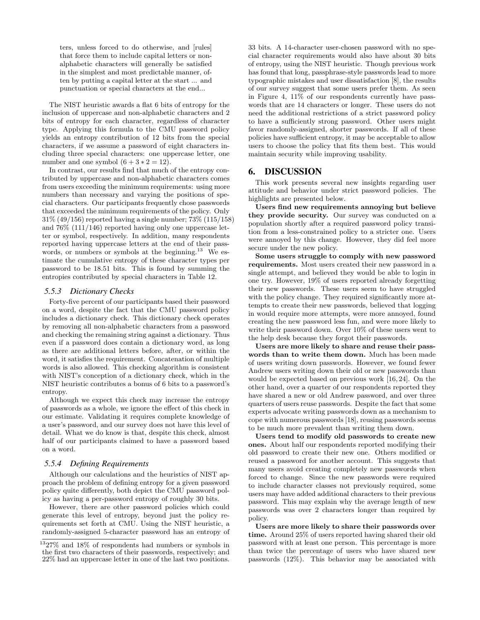ters, unless forced to do otherwise, and [rules] that force them to include capital letters or nonalphabetic characters will generally be satisfied in the simplest and most predictable manner, often by putting a capital letter at the start ... and punctuation or special characters at the end...

The NIST heuristic awards a flat 6 bits of entropy for the inclusion of uppercase and non-alphabetic characters and 2 bits of entropy for each character, regardless of character type. Applying this formula to the CMU password policy yields an entropy contribution of 12 bits from the special characters, if we assume a password of eight characters including three special characters: one uppercase letter, one number and one symbol  $(6 + 3 * 2 = 12)$ .

In contrast, our results find that much of the entropy contributed by uppercase and non-alphabetic characters comes from users exceeding the minimum requirements: using more numbers than necessary and varying the positions of special characters. Our participants frequently chose passwords that exceeded the minimum requirements of the policy. Only 31% (49/156) reported having a single number; 73% (115/158) and 76% (111/146) reported having only one uppercase letter or symbol, respectively. In addition, many respondents reported having uppercase letters at the end of their passwords, or numbers or symbols at the beginning.<sup>13</sup> We estimate the cumulative entropy of these character types per password to be 18.51 bits. This is found by summing the entropies contributed by special characters in Table 12.

#### *5.5.3 Dictionary Checks*

Forty-five percent of our participants based their password on a word, despite the fact that the CMU password policy includes a dictionary check. This dictionary check operates by removing all non-alphabetic characters from a password and checking the remaining string against a dictionary. Thus even if a password does contain a dictionary word, as long as there are additional letters before, after, or within the word, it satisfies the requirement. Concatenation of multiple words is also allowed. This checking algorithm is consistent with NIST's conception of a dictionary check, which in the NIST heuristic contributes a bonus of 6 bits to a password's entropy.

Although we expect this check may increase the entropy of passwords as a whole, we ignore the effect of this check in our estimate. Validating it requires complete knowledge of a user's password, and our survey does not have this level of detail. What we do know is that, despite this check, almost half of our participants claimed to have a password based on a word.

#### *5.5.4 Defining Requirements*

Although our calculations and the heuristics of NIST approach the problem of defining entropy for a given password policy quite differently, both depict the CMU password policy as having a per-password entropy of roughly 30 bits.

However, there are other password policies which could generate this level of entropy, beyond just the policy requirements set forth at CMU. Using the NIST heuristic, a randomly-assigned 5-character password has an entropy of 33 bits. A 14-character user-chosen password with no special character requirements would also have about 30 bits of entropy, using the NIST heuristic. Though previous work has found that long, passphrase-style passwords lead to more typographic mistakes and user dissatisfaction [8], the results of our survey suggest that some users prefer them. As seen in Figure 4, 11% of our respondents currently have passwords that are 14 characters or longer. These users do not need the additional restrictions of a strict password policy to have a sufficiently strong password. Other users might favor randomly-assigned, shorter passwords. If all of these policies have sufficient entropy, it may be acceptable to allow users to choose the policy that fits them best. This would maintain security while improving usability.

#### 6. DISCUSSION

This work presents several new insights regarding user attitude and behavior under strict password policies. The highlights are presented below.

Users find new requirements annoying but believe they provide security. Our survey was conducted on a population shortly after a required password policy transition from a less-constrained policy to a stricter one. Users were annoyed by this change. However, they did feel more secure under the new policy.

Some users struggle to comply with new password requirements. Most users created their new password in a single attempt, and believed they would be able to login in one try. However, 19% of users reported already forgetting their new passwords. These users seem to have struggled with the policy change. They required significantly more attempts to create their new passwords, believed that logging in would require more attempts, were more annoyed, found creating the new password less fun, and were more likely to write their password down. Over 10% of these users went to the help desk because they forgot their passwords.

Users are more likely to share and reuse their passwords than to write them down. Much has been made of users writing down passwords. However, we found fewer Andrew users writing down their old or new passwords than would be expected based on previous work [16, 24]. On the other hand, over a quarter of our respondents reported they have shared a new or old Andrew password, and over three quarters of users reuse passwords. Despite the fact that some experts advocate writing passwords down as a mechanism to cope with numerous passwords [18], reusing passwords seems to be much more prevalent than writing them down.

Users tend to modify old passwords to create new ones. About half our respondents reported modifying their old password to create their new one. Others modified or reused a password for another account. This suggests that many users avoid creating completely new passwords when forced to change. Since the new passwords were required to include character classes not previously required, some users may have added additional characters to their previous password. This may explain why the average length of new passwords was over 2 characters longer than required by policy.

Users are more likely to share their passwords over time. Around 25% of users reported having shared their old password with at least one person. This percentage is more than twice the percentage of users who have shared new passwords (12%). This behavior may be associated with

<sup>13</sup>27% and 18% of respondents had numbers or symbols in the first two characters of their passwords, respectively; and 22% had an uppercase letter in one of the last two positions.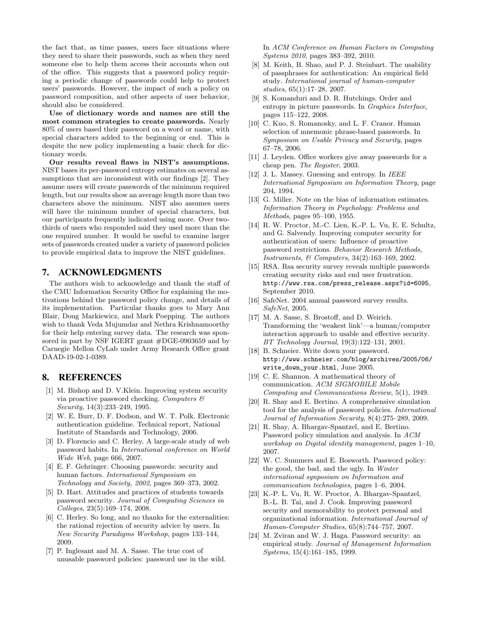the fact that, as time passes, users face situations where they need to share their passwords, such as when they need someone else to help them access their accounts when out of the office. This suggests that a password policy requiring a periodic change of passwords could help to protect users' passwords. However, the impact of such a policy on password composition, and other aspects of user behavior, should also be considered.

Use of dictionary words and names are still the most common strategies to create passwords. Nearly 80% of users based their password on a word or name, with special characters added to the beginning or end. This is despite the new policy implementing a basic check for dictionary words.

Our results reveal flaws in NIST's assumptions. NIST bases its per-password entropy estimates on several assumptions that are inconsistent with our findings [2]. They assume users will create passwords of the minimum required length, but our results show an average length more than two characters above the minimum. NIST also assumes users will have the minimum number of special characters, but our participants frequently indicated using more. Over twothirds of users who responded said they used more than the one required number. It would be useful to examine larger sets of passwords created under a variety of password policies to provide empirical data to improve the NIST guidelines.

#### 7. ACKNOWLEDGMENTS

The authors wish to acknowledge and thank the staff of the CMU Information Security Office for explaining the motivations behind the password policy change, and details of its implementation. Particular thanks goes to Mary Ann Blair, Doug Markiewicz, and Mark Poepping. The authors wish to thank Veda Mujumdar and Nethra Krishnamoorthy for their help entering survey data. The research was sponsored in part by NSF IGERT grant #DGE-0903659 and by Carnegie Mellon CyLab under Army Research Office grant DAAD-19-02-1-0389.

#### 8. REFERENCES

- [1] M. Bishop and D. V.Klein. Improving system security via proactive password checking. Computers & Security, 14(3):233–249, 1995.
- [2] W. E. Burr, D. F. Dodson, and W. T. Polk. Electronic authentication guideline. Technical report, National Institute of Standards and Technology, 2006.
- [3] D. Florencio and C. Herley. A large-scale study of web password habits. In International conference on World Wide Web, page 666, 2007.
- [4] E. F. Gehringer. Choosing passwords: security and human factors. International Symposium on Technology and Society, 2002, pages 369–373, 2002.
- [5] D. Hart. Attitudes and practices of students towards password security. Journal of Computing Sciences in Colleges, 23(5):169–174, 2008.
- [6] C. Herley. So long, and no thanks for the externalities: the rational rejection of security advice by users. In New Security Paradigms Workshop, pages 133–144, 2009.
- [7] P. Inglesant and M. A. Sasse. The true cost of unusable password policies: password use in the wild.

In ACM Conference on Human Factors in Computing Systems 2010, pages 383–392, 2010.

- [8] M. Keith, B. Shao, and P. J. Steinbart. The usability of passphrases for authentication: An empirical field study. International journal of human-computer studies, 65(1):17–28, 2007.
- [9] S. Komanduri and D. R. Hutchings. Order and entropy in picture passwords. In Graphics Interface, pages 115–122, 2008.
- [10] C. Kuo, S. Romanosky, and L. F. Cranor. Human selection of mnemonic phrase-based passwords. In Symposium on Usable Privacy and Security, pages 67–78, 2006.
- [11] J. Leyden. Office workers give away passwords for a cheap pen. The Register, 2003.
- [12] J. L. Massey. Guessing and entropy. In *IEEE* International Symposium on Information Theory, page 204, 1994.
- [13] G. Miller. Note on the bias of information estimates. Information Theory in Psychology: Problems and Methods, pages 95–100, 1955.
- [14] R. W. Proctor, M.-C. Lien, K.-P. L. Vu, E. E. Schultz, and G. Salvendy. Improving computer security for authentication of users: Influence of proactive password restrictions. Behavior Research Methods, Instruments, & Computers, 34(2):163–169, 2002.
- [15] RSA. Rsa security survey reveals multiple passwords creating security risks and end user frustration. http://www.rsa.com/press\_release.aspx?id=6095, September 2010.
- [16] SafeNet. 2004 annual password survey results. SafeNet, 2005.
- [17] M. A. Sasse, S. Brostoff, and D. Weirich. Transforming the 'weakest link'—a human/computer interaction approach to usable and effective security. BT Technology Journal, 19(3):122–131, 2001.
- [18] B. Schneier. Write down your password. http://www.schneier.com/blog/archives/2005/06/ write\_down\_your.html, June 2005.
- [19] C. E. Shannon. A mathematical theory of communication. ACM SIGMOBILE Mobile Computing and Communications Review, 5(1), 1949.
- [20] R. Shay and E. Bertino. A comprehensive simulation tool for the analysis of password policies. International Journal of Information Security, 8(4):275–289, 2009.
- [21] R. Shay, A. Bhargav-Spantzel, and E. Bertino. Password policy simulation and analysis. In ACM workshop on Digital identity management, pages 1–10, 2007.
- [22] W. C. Summers and E. Bosworth. Password policy: the good, the bad, and the ugly. In Winter international synposium on Information and communication technologies, pages 1–6, 2004.
- [23] K.-P. L. Vu, R. W. Proctor, A. Bhargav-Spantzel, B.-L. B. Tai, and J. Cook. Improving password security and memorability to protect personal and organizational information. International Journal of Human-Computer Studies, 65(8):744–757, 2007.
- [24] M. Zviran and W. J. Haga. Password security: an empirical study. Journal of Management Information Systems, 15(4):161–185, 1999.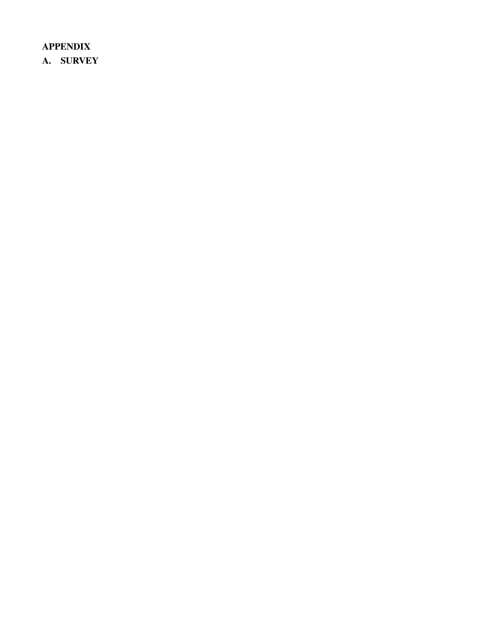# APPENDIX

A. SURVEY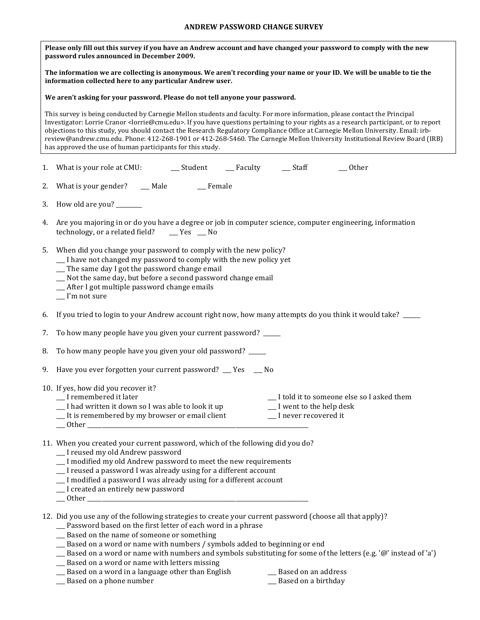|  | <b>ANDREW PASSWORD CHANGE SURVEY</b> |  |  |
|--|--------------------------------------|--|--|
|--|--------------------------------------|--|--|

| Please only fill out this survey if you have an Andrew account and have changed your password to comply with the new<br>password rules announced in December 2009.                                                                                                                                                                                                                                                                                                                                                                                                                                                        |                                                                                                                                                                                                                                                                                                                                                                            |  |  |  |
|---------------------------------------------------------------------------------------------------------------------------------------------------------------------------------------------------------------------------------------------------------------------------------------------------------------------------------------------------------------------------------------------------------------------------------------------------------------------------------------------------------------------------------------------------------------------------------------------------------------------------|----------------------------------------------------------------------------------------------------------------------------------------------------------------------------------------------------------------------------------------------------------------------------------------------------------------------------------------------------------------------------|--|--|--|
|                                                                                                                                                                                                                                                                                                                                                                                                                                                                                                                                                                                                                           | The information we are collecting is anonymous. We aren't recording your name or your ID. We will be unable to tie the<br>information collected here to any particular Andrew user.                                                                                                                                                                                        |  |  |  |
|                                                                                                                                                                                                                                                                                                                                                                                                                                                                                                                                                                                                                           | We aren't asking for your password. Please do not tell anyone your password.                                                                                                                                                                                                                                                                                               |  |  |  |
| This survey is being conducted by Carnegie Mellon students and faculty. For more information, please contact the Principal<br>Investigator: Lorrie Cranor <lorrie@cmu.edu>. If you have questions pertaining to your rights as a research participant, or to report<br/>objections to this study, you should contact the Research Regulatory Compliance Office at Carnegie Mellon University. Email: irb-<br/>review@andrew.cmu.edu. Phone: 412-268-1901 or 412-268-5460. The Carnegie Mellon University Institutional Review Board (IRB)<br/>has approved the use of human participants for this study.</lorrie@cmu.edu> |                                                                                                                                                                                                                                                                                                                                                                            |  |  |  |
|                                                                                                                                                                                                                                                                                                                                                                                                                                                                                                                                                                                                                           |                                                                                                                                                                                                                                                                                                                                                                            |  |  |  |
| 2.                                                                                                                                                                                                                                                                                                                                                                                                                                                                                                                                                                                                                        | What is your gender? __ Male ______ Female                                                                                                                                                                                                                                                                                                                                 |  |  |  |
|                                                                                                                                                                                                                                                                                                                                                                                                                                                                                                                                                                                                                           | 3. How old are you? ______                                                                                                                                                                                                                                                                                                                                                 |  |  |  |
| 4.                                                                                                                                                                                                                                                                                                                                                                                                                                                                                                                                                                                                                        | Are you majoring in or do you have a degree or job in computer science, computer engineering, information<br>technology, or a related field? ___ Yes __ No                                                                                                                                                                                                                 |  |  |  |
| 5.                                                                                                                                                                                                                                                                                                                                                                                                                                                                                                                                                                                                                        | When did you change your password to comply with the new policy?<br>_I have not changed my password to comply with the new policy yet<br>_ The same day I got the password change email<br>Not the same day, but before a second password change email<br>_ After I got multiple password change emails<br>__ I'm not sure                                                 |  |  |  |
| 6.                                                                                                                                                                                                                                                                                                                                                                                                                                                                                                                                                                                                                        | If you tried to login to your Andrew account right now, how many attempts do you think it would take?                                                                                                                                                                                                                                                                      |  |  |  |
| 7.                                                                                                                                                                                                                                                                                                                                                                                                                                                                                                                                                                                                                        | To how many people have you given your current password? _____                                                                                                                                                                                                                                                                                                             |  |  |  |
| 8.                                                                                                                                                                                                                                                                                                                                                                                                                                                                                                                                                                                                                        | To how many people have you given your old password? _____                                                                                                                                                                                                                                                                                                                 |  |  |  |
|                                                                                                                                                                                                                                                                                                                                                                                                                                                                                                                                                                                                                           | 9. Have you ever forgotten your current password? __ Yes __ No                                                                                                                                                                                                                                                                                                             |  |  |  |
|                                                                                                                                                                                                                                                                                                                                                                                                                                                                                                                                                                                                                           | 10. If yes, how did you recover it?<br>_I remembered it later<br>_I told it to someone else so I asked them<br>_I had written it down so I was able to look it up<br>_I went to the help desk<br>_ It is remembered by my browser or email client<br>__ I never recovered it                                                                                               |  |  |  |
|                                                                                                                                                                                                                                                                                                                                                                                                                                                                                                                                                                                                                           | 11. When you created your current password, which of the following did you do?<br>_I reused my old Andrew password<br>_ I modified my old Andrew password to meet the new requirements<br>_ I reused a password I was already using for a different account<br>_ I modified a password I was already using for a different account<br>_ I created an entirely new password |  |  |  |
|                                                                                                                                                                                                                                                                                                                                                                                                                                                                                                                                                                                                                           | 12. Did you use any of the following strategies to create your current password (choose all that apply)?<br>__ Password based on the first letter of each word in a phrase<br>Based on the name of someone or something                                                                                                                                                    |  |  |  |

- \_\_ Based on a word or name with numbers / symbols added to beginning or end
- $\_\_$ Based on a word or name with numbers and symbols substituting for some of the letters (e.g. '@' instead of 'a')
- \_ Based on a word or name with letters missing
- \_\_\_!Based!on!a!word!in!a!language!other!than!English
- \_\_\_!Based!on!a!phone!number
- \_\_\_!Based!on!an!address
- \_\_ Based on a birthday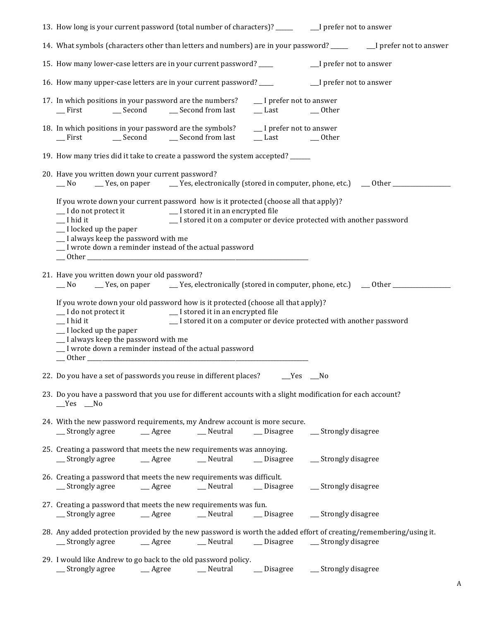| 13. How long is your current password (total number of characters)? _____________ I prefer not to answer                                                                                                                                                                                                                                                                                      |
|-----------------------------------------------------------------------------------------------------------------------------------------------------------------------------------------------------------------------------------------------------------------------------------------------------------------------------------------------------------------------------------------------|
| 14. What symbols (characters other than letters and numbers) are in your password? ________________ I prefer not to answer                                                                                                                                                                                                                                                                    |
| 15. How many lower-case letters are in your current password? __________________I prefer not to answer                                                                                                                                                                                                                                                                                        |
| 16. How many upper-case letters are in your current password? ____<br>_I prefer not to answer                                                                                                                                                                                                                                                                                                 |
| 17. In which positions in your password are the numbers? ______ I prefer not to answer<br>__ Second ___ Second from last<br>__ Last _____ Other<br>$\equiv$ First                                                                                                                                                                                                                             |
| 18. In which positions in your password are the symbols? ______ I prefer not to answer<br>__ Second ___ Second from last<br>__ Last ___ Other<br>$\equiv$ First                                                                                                                                                                                                                               |
| 19. How many tries did it take to create a password the system accepted? _____                                                                                                                                                                                                                                                                                                                |
| 20. Have you written down your current password?<br>No Lies, on paper Lies, electronically (stored in computer, phone, etc.) Department Content Lies, No                                                                                                                                                                                                                                      |
| If you wrote down your current password how is it protected (choose all that apply)?<br>__ I do not protect it _________________ I stored it in an encrypted file<br>_I hid it<br>__I stored it on a computer or device protected with another password<br>_ I locked up the paper<br>__I always keep the password with me<br>_ I wrote down a reminder instead of the actual password        |
| 21. Have you written down your old password?<br>__ No ______ Yes, on paper _________ Yes, electronically (stored in computer, phone, etc.) ____ Other ________                                                                                                                                                                                                                                |
| If you wrote down your old password how is it protected (choose all that apply)?<br>_I do not protect it _______________I stored it in an encrypted file<br>__I stored it on a computer or device protected with another password<br>$\mathbf{I}$ hid it<br>$\Box$ I locked up the paper<br>__ I always keep the password with me<br>_ I wrote down a reminder instead of the actual password |
| 22. Do you have a set of passwords you reuse in different places?<br>$Yes$ No                                                                                                                                                                                                                                                                                                                 |
| 23. Do you have a password that you use for different accounts with a slight modification for each account?<br>$Yes$ No                                                                                                                                                                                                                                                                       |
| 24. With the new password requirements, my Andrew account is more secure.<br>__ Neutral ___ Disagree ___ Strongly disagree<br>__ Strongly agree<br>__ Agree                                                                                                                                                                                                                                   |
| 25. Creating a password that meets the new requirements was annoying.<br>__ Strongly disagree                                                                                                                                                                                                                                                                                                 |
| 26. Creating a password that meets the new requirements was difficult.<br>__ Strongly disagree                                                                                                                                                                                                                                                                                                |
| 27. Creating a password that meets the new requirements was fun.<br>__ Strongly agree                                                                                                                                                                                                                                                                                                         |
| 28. Any added protection provided by the new password is worth the added effort of creating/remembering/using it.<br>__ Strongly agree                                                                                                                                                                                                                                                        |
| 29. I would like Andrew to go back to the old password policy.                                                                                                                                                                                                                                                                                                                                |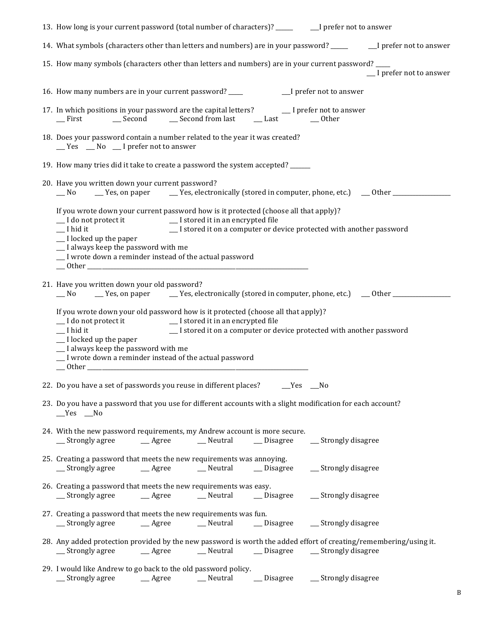| 13. How long is your current password (total number of characters)? _____________ I prefer not to answer                                                                                                                                                                                                                                                                                                                                                                                               |
|--------------------------------------------------------------------------------------------------------------------------------------------------------------------------------------------------------------------------------------------------------------------------------------------------------------------------------------------------------------------------------------------------------------------------------------------------------------------------------------------------------|
| 14. What symbols (characters other than letters and numbers) are in your password? ________________ I prefer not to answer                                                                                                                                                                                                                                                                                                                                                                             |
| 15. How many symbols (characters other than letters and numbers) are in your current password?<br>__ I prefer not to answer                                                                                                                                                                                                                                                                                                                                                                            |
| 16. How many numbers are in your current password? ___________________I prefer not to answer                                                                                                                                                                                                                                                                                                                                                                                                           |
| 17. In which positions in your password are the capital letters? __________ I prefer not to answer                                                                                                                                                                                                                                                                                                                                                                                                     |
| 18. Does your password contain a number related to the year it was created?<br>__ Yes __ No __ I prefer not to answer                                                                                                                                                                                                                                                                                                                                                                                  |
| 19. How many tries did it take to create a password the system accepted?                                                                                                                                                                                                                                                                                                                                                                                                                               |
| 20. Have you written down your current password?<br>No Lies, on paper Lies, electronically (stored in computer, phone, etc.) Department Chern Lies                                                                                                                                                                                                                                                                                                                                                     |
| If you wrote down your current password how is it protected (choose all that apply)?<br>__ I do not protect it ______________ I stored it in an encrypted file<br>__ I stored it on a computer or device protected with another password<br>$\Box$ I hid it<br>_I locked up the paper<br>_I always keep the password with me<br>_ I wrote down a reminder instead of the actual password                                                                                                               |
| 21. Have you written down your old password?<br>__ No ______ Yes, on paper _________ Yes, electronically (stored in computer, phone, etc.) ____ Other ________<br>If you wrote down your old password how is it protected (choose all that apply)?<br>__ I stored it on a computer or device protected with another password<br>$\overline{\phantom{a}}$ I hid it<br>$\Box$ I locked up the paper<br>__ I always keep the password with me<br>_ I wrote down a reminder instead of the actual password |
| 22. Do you have a set of passwords you reuse in different places?<br>$Yes$ No                                                                                                                                                                                                                                                                                                                                                                                                                          |
| 23. Do you have a password that you use for different accounts with a slight modification for each account?<br>$Yes$ No                                                                                                                                                                                                                                                                                                                                                                                |
| 24. With the new password requirements, my Andrew account is more secure.<br>__ Strongly agree                                                                                                                                                                                                                                                                                                                                                                                                         |
| 25. Creating a password that meets the new requirements was annoying.                                                                                                                                                                                                                                                                                                                                                                                                                                  |
| 26. Creating a password that meets the new requirements was easy.<br>__ Strongly agree $\qquad$ __ Agree $\qquad$ __ Neutral $\qquad$ __ Disagree $\qquad$ __ Strongly disagree                                                                                                                                                                                                                                                                                                                        |
| 27. Creating a password that meets the new requirements was fun.<br>__ Strongly agree ______ Agree _______ Neutral _____ Disagree _____ Strongly disagree                                                                                                                                                                                                                                                                                                                                              |
| 28. Any added protection provided by the new password is worth the added effort of creating/remembering/using it.<br>__ Strongly agree _______ Agree ________ Neutral ______ Disagree _____ Strongly disagree                                                                                                                                                                                                                                                                                          |
| 29. I would like Andrew to go back to the old password policy.<br>__ Strongly agree $\qquad$ __ Agree $\qquad$ __ Neutral $\qquad$ __ Disagree $\qquad$ __ Strongly disagree                                                                                                                                                                                                                                                                                                                           |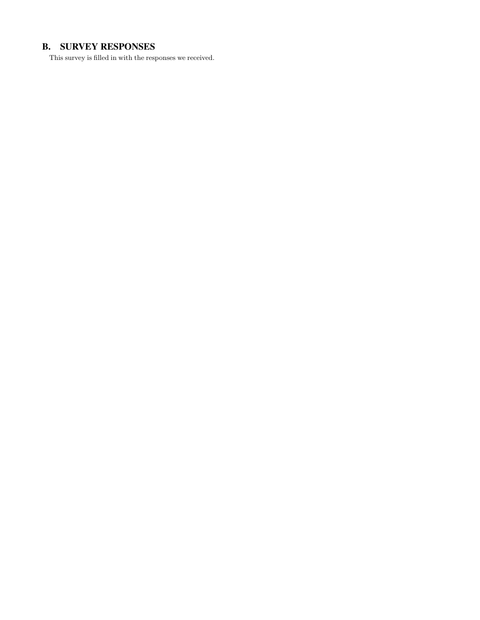## B. SURVEY RESPONSES

This survey is filled in with the responses we received.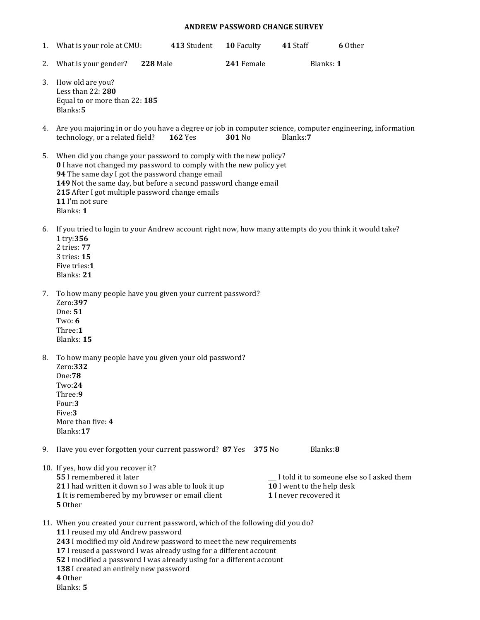- **ANDREW'PASSWORD'CHANGE'SURVEY** 1. What is your role at CMU: **413** Student **10** Faculty **41** Staff **6** Other 2. What is your gender? **228** Male **241** Female Blanks: 1 3. How old are you? Less than 22: 280 Equal to or more than 22: 185 Blanks:**5** 4. Are you majoring in or do you have a degree or job in computer science, computer engineering, information technology, or a related field? **162** Yes **301** No Blanks:7 5. When did you change your password to comply with the new policy? **0** I have not changed my password to comply with the new policy yet **94** The same day I got the password change email 149 Not the same day, but before a second password change email **215** After I got multiple password change emails 11 I'm not sure Blanks:**'1** 6. If you tried to login to your Andrew account right now, how many attempts do you think it would take? 1!try:**356** 2!tries: **77** 3!tries: **15** Five tries:1 Blanks:**'21** 7. To how many people have you given your current password? Zero:**397** One: **51** Two: **6** Three:**1** Blanks: **15** 8. To how many people have you given your old password? Zero:**332** One:**78** Two:**24** Three:**9** Four:**3** Five:**3** More than five: 4 Blanks:**17** 9. Have you ever forgotten your current password? 87 Yes 375 No Blanks: 8 10. If yes, how did you recover it?
	- **55** I remembered it later **21** I had written it down so I was able to look it up **1** It is remembered by my browser or email client **5** Other!
- I told it to someone else so I asked them **10** I went to the help desk
- **1** I never recovered it
- 11. When you created your current password, which of the following did you do? 11 I reused my old Andrew password 243 I modified my old Andrew password to meet the new requirements 17 I reused a password I was already using for a different account **52** I modified a password I was already using for a different account 138 I created an entirely new password **4**!Other! Blanks:!**5**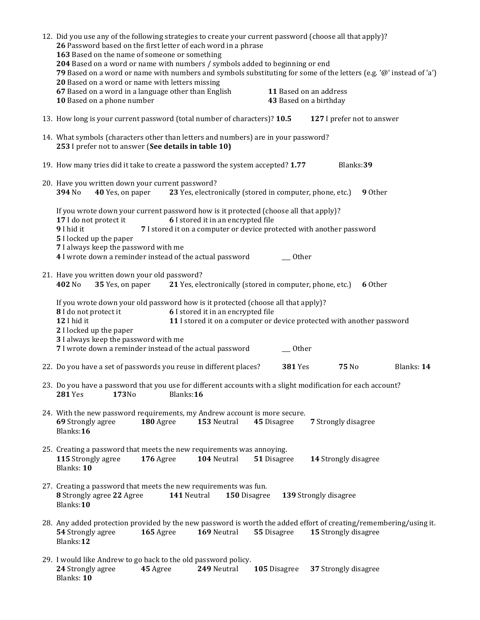| 12. Did you use any of the following strategies to create your current password (choose all that apply)?<br>26 Password based on the first letter of each word in a phrase<br>163 Based on the name of someone or something<br>204 Based on a word or name with numbers / symbols added to beginning or end                                                                |                |                                                  |            |
|----------------------------------------------------------------------------------------------------------------------------------------------------------------------------------------------------------------------------------------------------------------------------------------------------------------------------------------------------------------------------|----------------|--------------------------------------------------|------------|
| 79 Based on a word or name with numbers and symbols substituting for some of the letters (e.g. '@' instead of 'a')<br>20 Based on a word or name with letters missing                                                                                                                                                                                                      |                |                                                  |            |
| 67 Based on a word in a language other than English<br>10 Based on a phone number                                                                                                                                                                                                                                                                                          |                | 11 Based on an address<br>43 Based on a birthday |            |
| 13. How long is your current password (total number of characters)? 10.5                                                                                                                                                                                                                                                                                                   |                | 127 I prefer not to answer                       |            |
| 14. What symbols (characters other than letters and numbers) are in your password?<br>253 I prefer not to answer (See details in table 10)                                                                                                                                                                                                                                 |                |                                                  |            |
| 19. How many tries did it take to create a password the system accepted? 1.77                                                                                                                                                                                                                                                                                              |                | Blanks:39                                        |            |
| 20. Have you written down your current password?<br>40 Yes, on paper 23 Yes, electronically (stored in computer, phone, etc.)<br>394 No                                                                                                                                                                                                                                    |                | 9 Other                                          |            |
| If you wrote down your current password how is it protected (choose all that apply)?<br>6 I stored it in an encrypted file<br>17 I do not protect it<br>7 I stored it on a computer or device protected with another password<br>9 I hid it<br>5 I locked up the paper<br>7 I always keep the password with me<br>4 I wrote down a reminder instead of the actual password | Other          |                                                  |            |
| 21. Have you written down your old password?<br>21 Yes, electronically (stored in computer, phone, etc.)<br>35 Yes, on paper<br>6 Other<br>402 No                                                                                                                                                                                                                          |                |                                                  |            |
| If you wrote down your old password how is it protected (choose all that apply)?<br>6 I stored it in an encrypted file<br>8 I do not protect it<br>11 I stored it on a computer or device protected with another password<br>12 I hid it<br>2 I locked up the paper<br>3 I always keep the password with me<br>7 I wrote down a reminder instead of the actual password    | $\_\_$ Other   |                                                  |            |
| 22. Do you have a set of passwords you reuse in different places?                                                                                                                                                                                                                                                                                                          | <b>381 Yes</b> | 75 No                                            | Blanks: 14 |
| 23. Do you have a password that you use for different accounts with a slight modification for each account?<br><b>281 Yes</b><br>173No<br>Blanks:16                                                                                                                                                                                                                        |                |                                                  |            |
| 24. With the new password requirements, my Andrew account is more secure.<br>69 Strongly agree<br>180 Agree<br>153 Neutral<br>Blanks:16                                                                                                                                                                                                                                    | 45 Disagree    | 7 Strongly disagree                              |            |
| 25. Creating a password that meets the new requirements was annoying.<br>115 Strongly agree<br>176 Agree<br>104 Neutral<br>Blanks: 10                                                                                                                                                                                                                                      | 51 Disagree    | 14 Strongly disagree                             |            |
| 27. Creating a password that meets the new requirements was fun.<br>8 Strongly agree 22 Agree<br>141 Neutral<br>150 Disagree<br>Blanks:10                                                                                                                                                                                                                                  |                | 139 Strongly disagree                            |            |
| 28. Any added protection provided by the new password is worth the added effort of creating/remembering/using it.<br>169 Neutral<br>54 Strongly agree<br>165 Agree<br>Blanks:12                                                                                                                                                                                            | 55 Disagree    | 15 Strongly disagree                             |            |
| 29. I would like Andrew to go back to the old password policy.<br>24 Strongly agree<br>45 Agree<br>249 Neutral<br>Blanks: 10                                                                                                                                                                                                                                               | 105 Disagree   | 37 Strongly disagree                             |            |